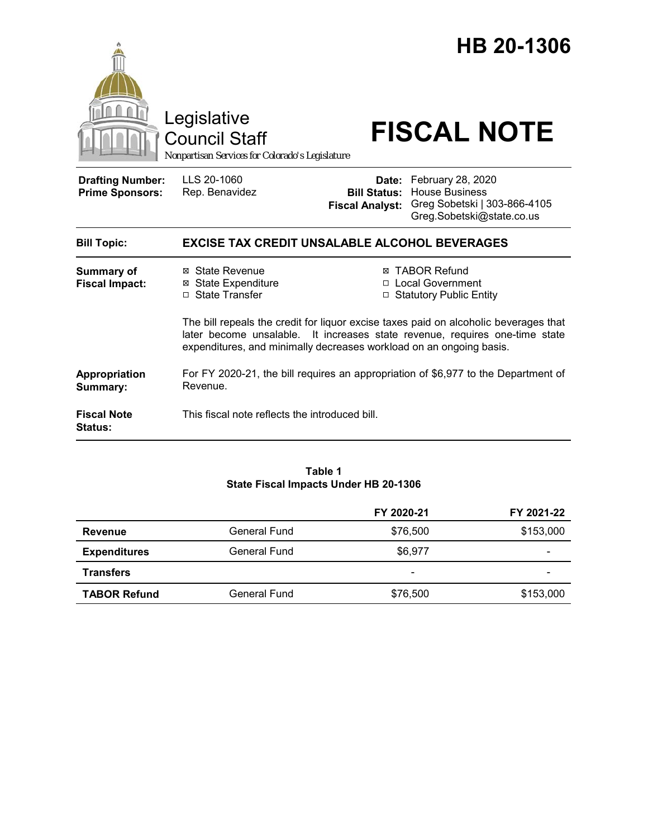

#### **Table 1 State Fiscal Impacts Under HB 20-1306**

|                     |                     | FY 2020-21               | FY 2021-22 |
|---------------------|---------------------|--------------------------|------------|
| Revenue             | <b>General Fund</b> | \$76,500                 | \$153,000  |
| <b>Expenditures</b> | General Fund        | \$6.977                  | -          |
| <b>Transfers</b>    |                     | $\overline{\phantom{0}}$ |            |
| <b>TABOR Refund</b> | General Fund        | \$76,500                 | \$153,000  |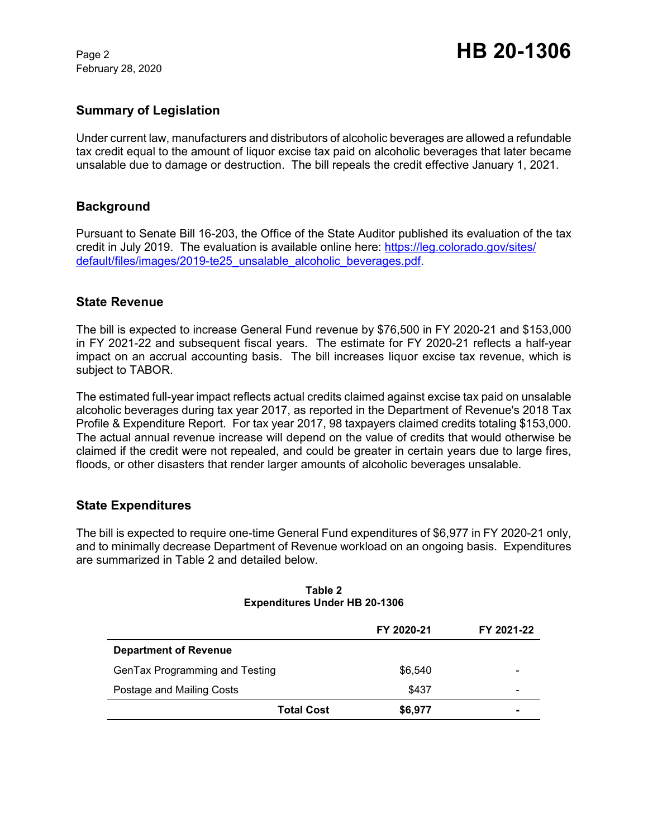February 28, 2020

# **Summary of Legislation**

Under current law, manufacturers and distributors of alcoholic beverages are allowed a refundable tax credit equal to the amount of liquor excise tax paid on alcoholic beverages that later became unsalable due to damage or destruction. The bill repeals the credit effective January 1, 2021.

### **Background**

Pursuant to Senate Bill 16-203, the Office of the State Auditor published its evaluation of the tax credit in July 2019. The evaluation is available online here: https://leg.colorado.gov/sites/ default/files/images/2019-te25\_unsalable\_alcoholic\_beverages.pdf.

#### **State Revenue**

The bill is expected to increase General Fund revenue by \$76,500 in FY 2020-21 and \$153,000 in FY 2021-22 and subsequent fiscal years. The estimate for FY 2020-21 reflects a half-year impact on an accrual accounting basis. The bill increases liquor excise tax revenue, which is subject to TABOR.

The estimated full-year impact reflects actual credits claimed against excise tax paid on unsalable alcoholic beverages during tax year 2017, as reported in the Department of Revenue's 2018 Tax Profile & Expenditure Report. For tax year 2017, 98 taxpayers claimed credits totaling \$153,000. The actual annual revenue increase will depend on the value of credits that would otherwise be claimed if the credit were not repealed, and could be greater in certain years due to large fires, floods, or other disasters that render larger amounts of alcoholic beverages unsalable.

## **State Expenditures**

The bill is expected to require one-time General Fund expenditures of \$6,977 in FY 2020-21 only, and to minimally decrease Department of Revenue workload on an ongoing basis. Expenditures are summarized in Table 2 and detailed below.

|                                | FY 2020-21 | FY 2021-22 |
|--------------------------------|------------|------------|
| <b>Department of Revenue</b>   |            |            |
| GenTax Programming and Testing | \$6,540    |            |
| Postage and Mailing Costs      | \$437      |            |
| <b>Total Cost</b>              | \$6,977    | -          |

#### **Table 2 Expenditures Under HB 20-1306**